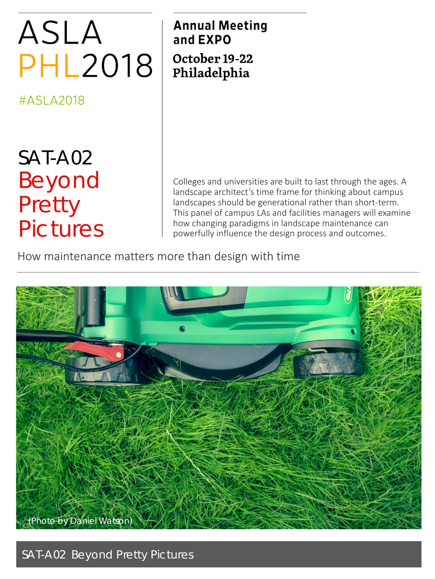# ASLA **PHL2018**

#ASLA2018

# SAT-A02 Beyond **Pretty** Pictures

**Annual Meeting** and EXPO October 19-22 Philadelphia

Colleges and universities are built to last through the ages. A landscape architect's time frame for thinking about campus landscapes should be generational rather than short-term. This panel of campus LAs and facilities managers will examine how changing paradigms in landscape maintenance can powerfully influence the design process and outcomes.

How maintenance matters more than design with time



SAT-A02 Beyond Pretty Pictures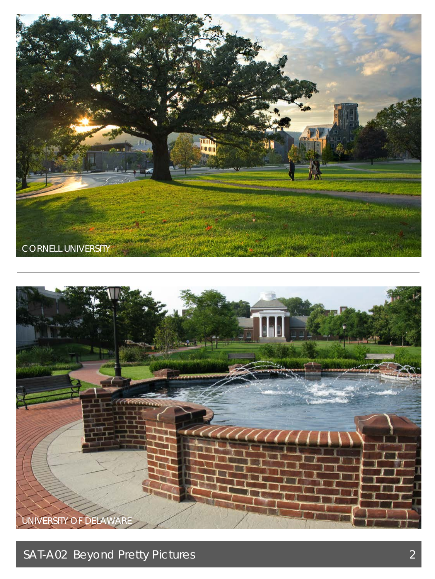



SAT-A02 Beyond Pretty Pictures 2014 2015 2016 2017 2022 2023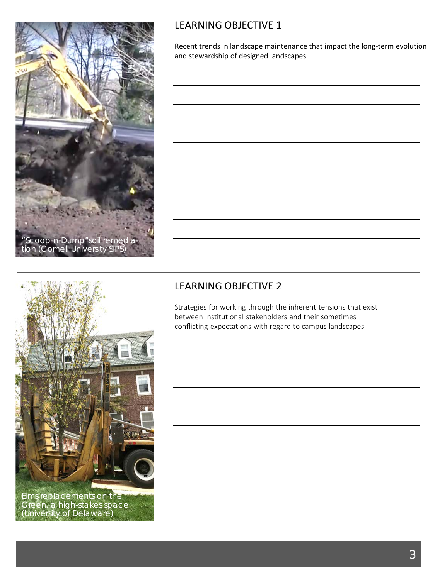

#### LEARNING OBJECTIVE 1

Recent trends in landscape maintenance that impact the long-term evolution and stewardship of designed landscapes..

# LEARNING OBJECTIVE 2

Strategies for working through the inherent tensions that exist between institutional stakeholders and their sometimes conflicting expectations with regard to campus landscapes



dieen, a myn-stakes space.<br>Thirdreity of Dolomaro) Elms replacements on the Green, a high-stakes space (University of Delaware)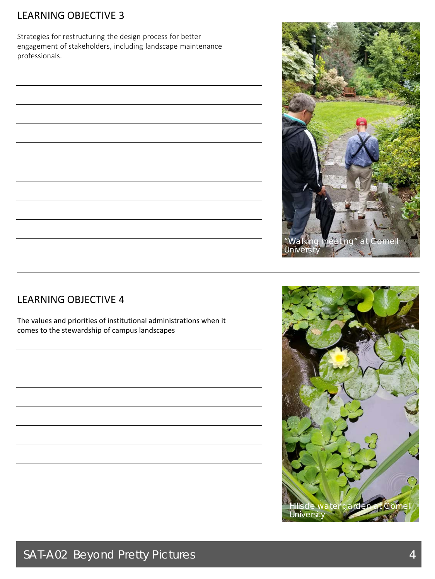### LEARNING OBJECTIVE 3

Strategies for restructuring the design process for better engagement of stakeholders, including landscape maintenance professionals.



#### LEARNING OBJECTIVE 4

The values and priorities of institutional administrations when it comes to the stewardship of campus landscapes